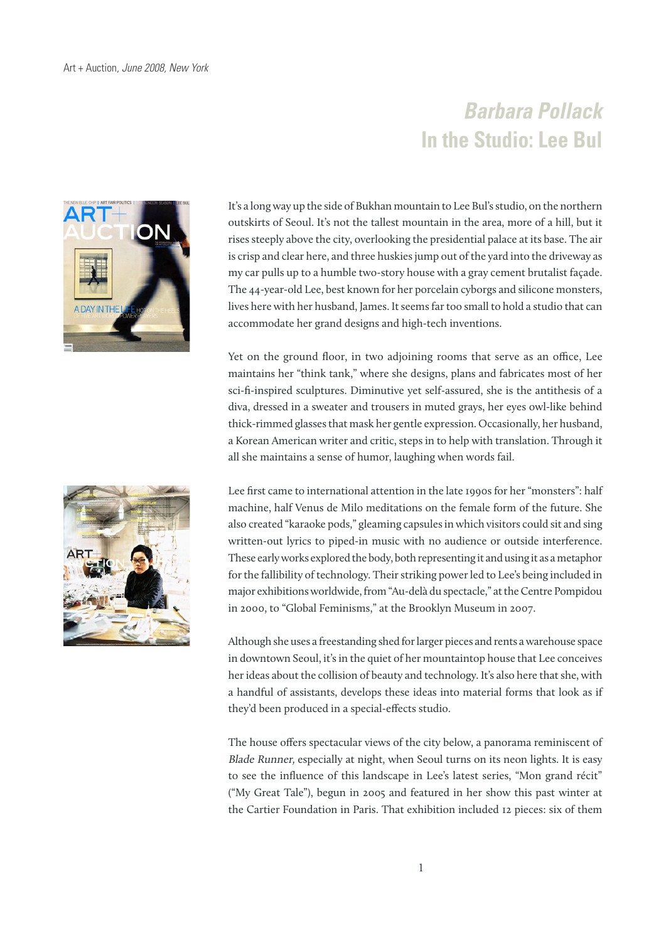## **Barbara Pollack In the Studio: Lee Bul**



It's a long way up the side of Bukhan mountain to Lee Bul's studio, on the northern outskirts of Seoul. It's not the tallest mountain in the area, more of a hill, but it rises steeply above the city, overlooking the presidential palace at its base. The air is crisp and clear here, and three huskies jump out of the yard into the driveway as my car pulls up to a humble two-story house with a gray cement brutalist façade. The 44-year-old Lee, best known for her porcelain cyborgs and silicone monsters, lives here with her husband, James. It seems far too small to hold a studio that can accommodate her grand designs and high-tech inventions.

Yet on the ground floor, in two adjoining rooms that serve as an office, Lee maintains her "think tank," where she designs, plans and fabricates most of her sci-fi-inspired sculptures. Diminutive yet self-assured, she is the antithesis of a diva, dressed in a sweater and trousers in muted grays, her eyes owl-like behind thick-rimmed glasses that mask her gentle expression. Occasionally, her husband, a Korean American writer and critic, steps in to help with translation. Through it all she maintains a sense of humor, laughing when words fail.



Although she uses a freestanding shed for larger pieces and rents a warehouse space in downtown Seoul, it's in the quiet of her mountaintop house that Lee conceives her ideas about the collision of beauty and technology. It's also here that she, with a handful of assistants, develops these ideas into material forms that look as if they'd been produced in a special-effects studio.

The house offers spectacular views of the city below, a panorama reminiscent of Blade Runner, especially at night, when Seoul turns on its neon lights. It is easy to see the influence of this landscape in Lee's latest series, "Mon grand récit" ("My Great Tale"), begun in 2005 and featured in her show this past winter at the Cartier Foundation in Paris. That exhibition included 12 pieces: six of them

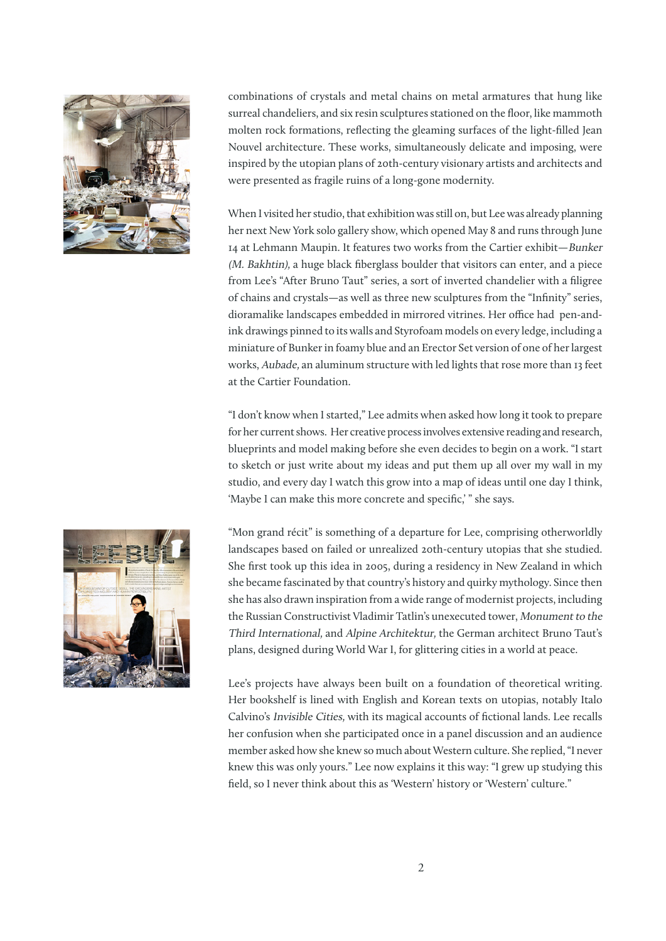

combinations of crystals and metal chains on metal armatures that hung like surreal chandeliers, and six resin sculptures stationed on the floor, like mammoth molten rock formations, reflecting the gleaming surfaces of the light-filled Jean Nouvel architecture. These works, simultaneously delicate and imposing, were inspired by the utopian plans of 20th-century visionary artists and architects and were presented as fragile ruins of a long-gone modernity.

When I visited her studio, that exhibition was still on, but Lee was already planning her next New York solo gallery show, which opened May 8 and runs through June 14 at Lehmann Maupin. It features two works from the Cartier exhibit—Bunker (M. Bakhtin), a huge black fiberglass boulder that visitors can enter, and a piece from Lee's "After Bruno Taut" series, a sort of inverted chandelier with a filigree of chains and crystals—as well as three new sculptures from the "Infinity" series, dioramalike landscapes embedded in mirrored vitrines. Her office had pen-andink drawings pinned to its walls and Styrofoam models on every ledge, including a miniature of Bunker in foamy blue and an Erector Set version of one of her largest works, Aubade, an aluminum structure with led lights that rose more than 13 feet at the Cartier Foundation.

"I don't know when I started," Lee admits when asked how long it took to prepare for her current shows. Her creative process involves extensive reading and research, blueprints and model making before she even decides to begin on a work. "I start to sketch or just write about my ideas and put them up all over my wall in my studio, and every day I watch this grow into a map of ideas until one day I think, 'Maybe I can make this more concrete and specific,' " she says.

"Mon grand récit" is something of a departure for Lee, comprising otherworldly landscapes based on failed or unrealized 20th-century utopias that she studied. She first took up this idea in 2005, during a residency in New Zealand in which she became fascinated by that country's history and quirky mythology. Since then she has also drawn inspiration from a wide range of modernist projects, including the Russian Constructivist Vladimir Tatlin's unexecuted tower, Monument to the Third International, and Alpine Architektur, the German architect Bruno Taut's plans, designed during World War I, for glittering cities in a world at peace.

Lee's projects have always been built on a foundation of theoretical writing. Her bookshelf is lined with English and Korean texts on utopias, notably Italo Calvino's Invisible Cities, with its magical accounts of fictional lands. Lee recalls her confusion when she participated once in a panel discussion and an audience member asked how she knew so much about Western culture. She replied, "I never knew this was only yours." Lee now explains it this way: "I grew up studying this field, so I never think about this as 'Western' history or 'Western' culture."

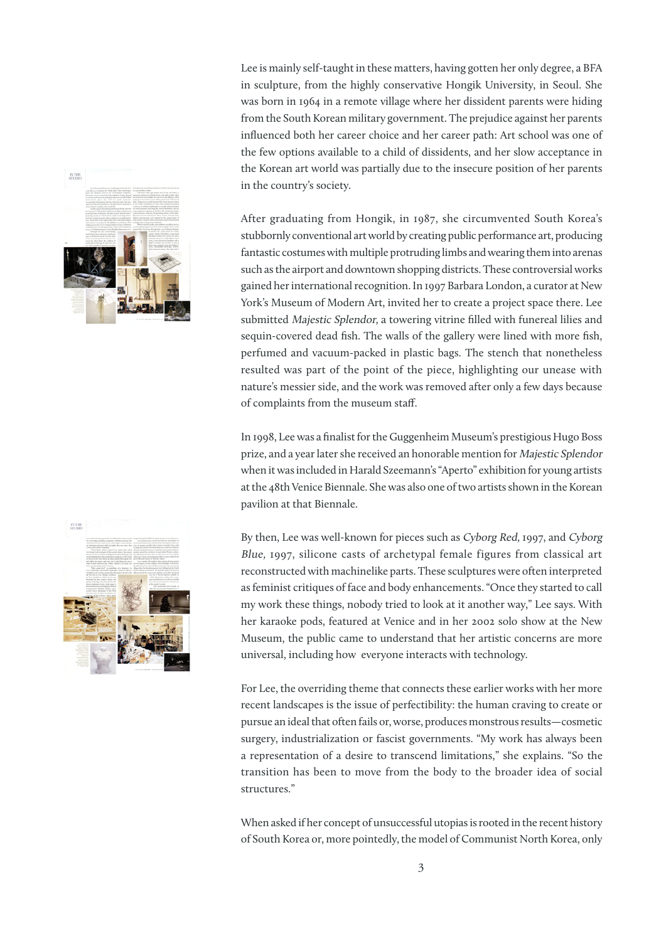



Lee is mainly self-taught in these matters, having gotten her only degree, a BFA in sculpture, from the highly conservative Hongik University, in Seoul. She was born in 1964 in a remote village where her dissident parents were hiding from the South Korean military government. The prejudice against her parents influenced both her career choice and her career path: Art school was one of the few options available to a child of dissidents, and her slow acceptance in the Korean art world was partially due to the insecure position of her parents in the country's society.

After graduating from Hongik, in 1987, she circumvented South Korea's stubbornly conventional art world by creating public performance art, producing fantastic costumes with multiple protruding limbs and wearing them into arenas such as the airport and downtown shopping districts. These controversial works gained her international recognition. In 1997 Barbara London, a curator at New York's Museum of Modern Art, invited her to create a project space there. Lee submitted Majestic Splendor, a towering vitrine filled with funereal lilies and sequin-covered dead fish. The walls of the gallery were lined with more fish, perfumed and vacuum-packed in plastic bags. The stench that nonetheless resulted was part of the point of the piece, highlighting our unease with nature's messier side, and the work was removed after only a few days because of complaints from the museum staff.

In 1998, Lee was a finalist for the Guggenheim Museum's prestigious Hugo Boss prize, and a year later she received an honorable mention for Majestic Splendor when it was included in Harald Szeemann's "Aperto" exhibition for young artists at the 48th Venice Biennale. She was also one of two artists shown in the Korean pavilion at that Biennale.

By then, Lee was well-known for pieces such as Cyborg Red, 1997, and Cyborg Blue, 1997, silicone casts of archetypal female figures from classical art reconstructed with machinelike parts. These sculptures were often interpreted as feminist critiques of face and body enhancements. "Once they started to call my work these things, nobody tried to look at it another way," Lee says. With her karaoke pods, featured at Venice and in her 2002 solo show at the New Museum, the public came to understand that her artistic concerns are more universal, including how everyone interacts with technology.

For Lee, the overriding theme that connects these earlier works with her more recent landscapes is the issue of perfectibility: the human craving to create or pursue an ideal that often fails or, worse, produces monstrous results—cosmetic surgery, industrialization or fascist governments. "My work has always been a representation of a desire to transcend limitations," she explains. "So the transition has been to move from the body to the broader idea of social structures."

When asked if her concept of unsuccessful utopias is rooted in the recent history of South Korea or, more pointedly, the model of Communist North Korea, only

3